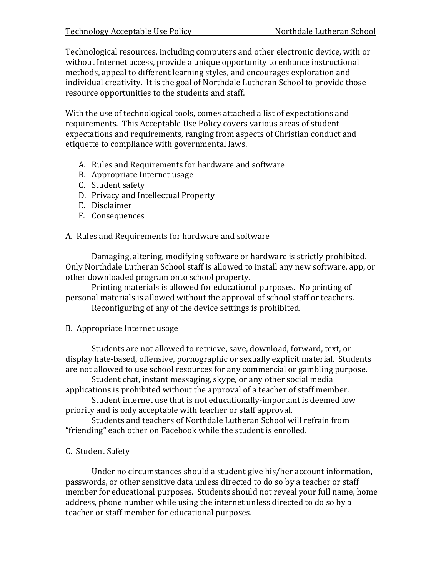Technological resources, including computers and other electronic device, with or without Internet access, provide a unique opportunity to enhance instructional methods, appeal to different learning styles, and encourages exploration and individual creativity. It is the goal of Northdale Lutheran School to provide those resource opportunities to the students and staff.

With the use of technological tools, comes attached a list of expectations and requirements. This Acceptable Use Policy covers various areas of student expectations and requirements, ranging from aspects of Christian conduct and etiquette to compliance with governmental laws.

- A. Rules and Requirements for hardware and software
- B. Appropriate Internet usage
- C. Student safety
- D. Privacy and Intellectual Property
- E. Disclaimer
- F. Consequences

A. Rules and Requirements for hardware and software

Damaging, altering, modifying software or hardware is strictly prohibited. Only Northdale Lutheran School staff is allowed to install any new software, app, or other downloaded program onto school property.

Printing materials is allowed for educational purposes. No printing of personal materials is allowed without the approval of school staff or teachers.

Reconfiguring of any of the device settings is prohibited.

## B. Appropriate Internet usage

Students are not allowed to retrieve, save, download, forward, text, or display hate-based, offensive, pornographic or sexually explicit material. Students are not allowed to use school resources for any commercial or gambling purpose.

Student chat, instant messaging, skype, or any other social media applications is prohibited without the approval of a teacher of staff member.

Student internet use that is not educationally-important is deemed low priority and is only acceptable with teacher or staff approval.

Students and teachers of Northdale Lutheran School will refrain from "friending" each other on Facebook while the student is enrolled.

# C. Student Safety

Under no circumstances should a student give his/her account information, passwords, or other sensitive data unless directed to do so by a teacher or staff member for educational purposes. Students should not reveal your full name, home address, phone number while using the internet unless directed to do so by a teacher or staff member for educational purposes.